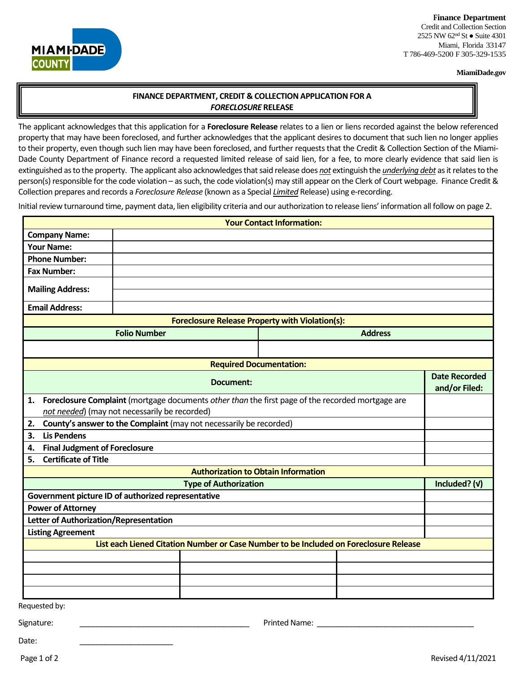### **Finance Department**

**MIAMI-DADE COUNTY** 

Credit and Collection Section 2525 NW 62<sup>nd</sup> St ● Suite 4301 Miami, Florida 33147 T 786-469-5200 F 305-329-1535

#### **MiamiDade.gov**

# **FINANCE DEPARTMENT, CREDIT & COLLECTION APPLICATION FOR A**  *FORECLOSURE* **RELEASE**

The applicant acknowledges that this application for a **Foreclosure Release** relates to a lien or liens recorded against the below referenced property that may have been foreclosed, and further acknowledges that the applicant desiresto document that such lien no longer applies to their property, even though such lien may have been foreclosed, and further requests that the Credit & Collection Section of the Miami-Dade County Department of Finance record a requested limited release of said lien, for a fee, to more clearly evidence that said lien is extinguished as to the property. The applicant also acknowledges that said release does *not* extinguish the *underlying debt* as it relates to the person(s) responsible for the code violation – as such, the code violation(s) may still appear on the Clerk of Court webpage. Finance Credit & Collection prepares and records a *Foreclosure Release* (known as a Special *Limited* Release) using e-recording.

Initial review turnaround time, payment data, lien eligibility criteria and our authorization to release liens' information all follow on page 2.

| <b>Your Contact Information:</b>                                                                       |  |  |                      |               |
|--------------------------------------------------------------------------------------------------------|--|--|----------------------|---------------|
| <b>Company Name:</b>                                                                                   |  |  |                      |               |
| <b>Your Name:</b>                                                                                      |  |  |                      |               |
| <b>Phone Number:</b>                                                                                   |  |  |                      |               |
| <b>Fax Number:</b>                                                                                     |  |  |                      |               |
| <b>Mailing Address:</b>                                                                                |  |  |                      |               |
| <b>Email Address:</b>                                                                                  |  |  |                      |               |
| <b>Foreclosure Release Property with Violation(s):</b>                                                 |  |  |                      |               |
| <b>Folio Number</b><br><b>Address</b>                                                                  |  |  |                      |               |
|                                                                                                        |  |  |                      |               |
| <b>Required Documentation:</b>                                                                         |  |  |                      |               |
| Document:                                                                                              |  |  | <b>Date Recorded</b> |               |
|                                                                                                        |  |  |                      | and/or Filed: |
| Foreclosure Complaint (mortgage documents other than the first page of the recorded mortgage are<br>1. |  |  |                      |               |
| not needed) (may not necessarily be recorded)                                                          |  |  |                      |               |
| County's answer to the Complaint (may not necessarily be recorded)<br>2.                               |  |  |                      |               |
| <b>Lis Pendens</b><br>3.                                                                               |  |  |                      |               |
| <b>Final Judgment of Foreclosure</b><br>4.                                                             |  |  |                      |               |
| <b>Certificate of Title</b><br>5.                                                                      |  |  |                      |               |
| <b>Authorization to Obtain Information</b>                                                             |  |  |                      |               |
| <b>Type of Authorization</b>                                                                           |  |  |                      | Included? (v) |
| Government picture ID of authorized representative                                                     |  |  |                      |               |
| <b>Power of Attorney</b>                                                                               |  |  |                      |               |
| Letter of Authorization/Representation                                                                 |  |  |                      |               |
| <b>Listing Agreement</b>                                                                               |  |  |                      |               |
| List each Liened Citation Number or Case Number to be Included on Foreclosure Release                  |  |  |                      |               |
|                                                                                                        |  |  |                      |               |
|                                                                                                        |  |  |                      |               |
|                                                                                                        |  |  |                      |               |
|                                                                                                        |  |  |                      |               |
| Requested by:                                                                                          |  |  |                      |               |

Signature: \_\_\_\_\_\_\_\_\_\_\_\_\_\_\_\_\_\_\_\_\_\_\_\_\_\_\_\_\_\_\_\_\_\_\_\_\_\_\_\_ Printed Name: \_\_\_\_\_\_\_\_\_\_\_\_\_\_\_\_\_\_\_\_\_\_\_\_\_\_\_\_\_\_\_\_\_\_\_\_\_

Date: